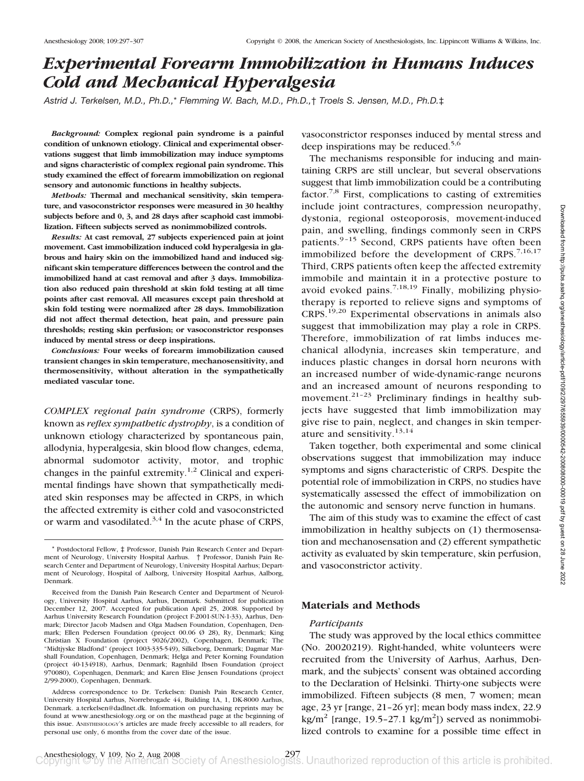# *Experimental Forearm Immobilization in Humans Induces Cold and Mechanical Hyperalgesia*

*Astrid J. Terkelsen, M.D., Ph.D.,*\* *Flemming W. Bach, M.D., Ph.D.,*† *Troels S. Jensen, M.D., Ph.D.*‡

*Background:* **Complex regional pain syndrome is a painful condition of unknown etiology. Clinical and experimental observations suggest that limb immobilization may induce symptoms and signs characteristic of complex regional pain syndrome. This study examined the effect of forearm immobilization on regional sensory and autonomic functions in healthy subjects.**

*Methods:* **Thermal and mechanical sensitivity, skin temperature, and vasoconstrictor responses were measured in 30 healthy subjects before and 0, 3, and 28 days after scaphoid cast immobilization. Fifteen subjects served as nonimmobilized controls.**

*Results:* **At cast removal, 27 subjects experienced pain at joint movement. Cast immobilization induced cold hyperalgesia in glabrous and hairy skin on the immobilized hand and induced significant skin temperature differences between the control and the immobilized hand at cast removal and after 3 days. Immobilization also reduced pain threshold at skin fold testing at all time points after cast removal. All measures except pain threshold at skin fold testing were normalized after 28 days. Immobilization did not affect thermal detection, heat pain, and pressure pain thresholds; resting skin perfusion; or vasoconstrictor responses induced by mental stress or deep inspirations.**

*Conclusions:* **Four weeks of forearm immobilization caused transient changes in skin temperature, mechanosensitivity, and thermosensitivity, without alteration in the sympathetically mediated vascular tone.**

*COMPLEX regional pain syndrome* (CRPS), formerly known as *reflex sympathetic dystrophy*, is a condition of unknown etiology characterized by spontaneous pain, allodynia, hyperalgesia, skin blood flow changes, edema, abnormal sudomotor activity, motor, and trophic changes in the painful extremity.<sup>1,2</sup> Clinical and experimental findings have shown that sympathetically mediated skin responses may be affected in CRPS, in which the affected extremity is either cold and vasoconstricted or warm and vasodilated.<sup>3,4</sup> In the acute phase of CRPS, vasoconstrictor responses induced by mental stress and deep inspirations may be reduced.<sup>5,6</sup>

The mechanisms responsible for inducing and maintaining CRPS are still unclear, but several observations suggest that limb immobilization could be a contributing factor.<sup>7,8</sup> First, complications to casting of extremities include joint contractures, compression neuropathy, dystonia, regional osteoporosis, movement-induced pain, and swelling, findings commonly seen in CRPS patients.<sup>9-15</sup> Second, CRPS patients have often been immobilized before the development of CRPS. $7,16,17$ Third, CRPS patients often keep the affected extremity immobile and maintain it in a protective posture to avoid evoked pains.<sup>7,18,19</sup> Finally, mobilizing physiotherapy is reported to relieve signs and symptoms of CRPS.19,20 Experimental observations in animals also suggest that immobilization may play a role in CRPS. Therefore, immobilization of rat limbs induces mechanical allodynia, increases skin temperature, and induces plastic changes in dorsal horn neurons with an increased number of wide-dynamic-range neurons and an increased amount of neurons responding to movement.<sup>21-23</sup> Preliminary findings in healthy subjects have suggested that limb immobilization may give rise to pain, neglect, and changes in skin temperature and sensitivity.<sup>13,14</sup>

Taken together, both experimental and some clinical observations suggest that immobilization may induce symptoms and signs characteristic of CRPS. Despite the potential role of immobilization in CRPS, no studies have systematically assessed the effect of immobilization on the autonomic and sensory nerve function in humans.

The aim of this study was to examine the effect of cast immobilization in healthy subjects on (1) thermosensation and mechanosensation and (2) efferent sympathetic activity as evaluated by skin temperature, skin perfusion, and vasoconstrictor activity.

## **Materials and Methods**

#### *Participants*

The study was approved by the local ethics committee (No. 20020219). Right-handed, white volunteers were recruited from the University of Aarhus, Aarhus, Denmark, and the subjects' consent was obtained according to the Declaration of Helsinki. Thirty-one subjects were immobilized. Fifteen subjects (8 men, 7 women; mean age, 23 yr [range, 21–26 yr]; mean body mass index, 22.9  $\text{kg/m}^2$  [range, 19.5-27.1 kg/m<sup>2</sup>]) served as nonimmobilized controls to examine for a possible time effect in

<sup>\*</sup> Postdoctoral Fellow, ‡ Professor, Danish Pain Research Center and Department of Neurology, University Hospital Aarhus. † Professor, Danish Pain Research Center and Department of Neurology, University Hospital Aarhus; Department of Neurology, Hospital of Aalborg, University Hospital Aarhus, Aalborg, Denmark.

Received from the Danish Pain Research Center and Department of Neurology, University Hospital Aarhus, Aarhus, Denmark. Submitted for publication December 12, 2007. Accepted for publication April 25, 2008. Supported by Aarhus University Research Foundation (project F-2001-SUN-1-33), Aarhus, Denmark; Director Jacob Madsen and Olga Madsen Foundation, Copenhagen, Denmark; Ellen Pedersen Foundation (project 00.06 Ø 28), Ry, Denmark; King Christian X Foundation (project 9026/2002), Copenhagen, Denmark; The "Midtjyske Bladfond" (project 1003-335-549), Silkeborg, Denmark; Dagmar Marshall Foundation, Copenhagen, Denmark; Helga and Peter Korning Foundation (project 40-134918), Aarhus, Denmark; Ragnhild Ibsen Foundation (project 970080), Copenhagen, Denmark; and Karen Elise Jensen Foundations (project 2/99-2000), Copenhagen, Denmark.

Address correspondence to Dr. Terkelsen: Danish Pain Research Center, University Hospital Aarhus, Norrebrogade 44, Building 1A, 1, DK-8000 Aarhus, Denmark. a.terkelsen@dadlnet.dk. Information on purchasing reprints may be found at www.anesthesiology.org or on the masthead page at the beginning of this issue. ANESTHESIOLOGY's articles are made freely accessible to all readers, for personal use only, 6 months from the cover date of the issue.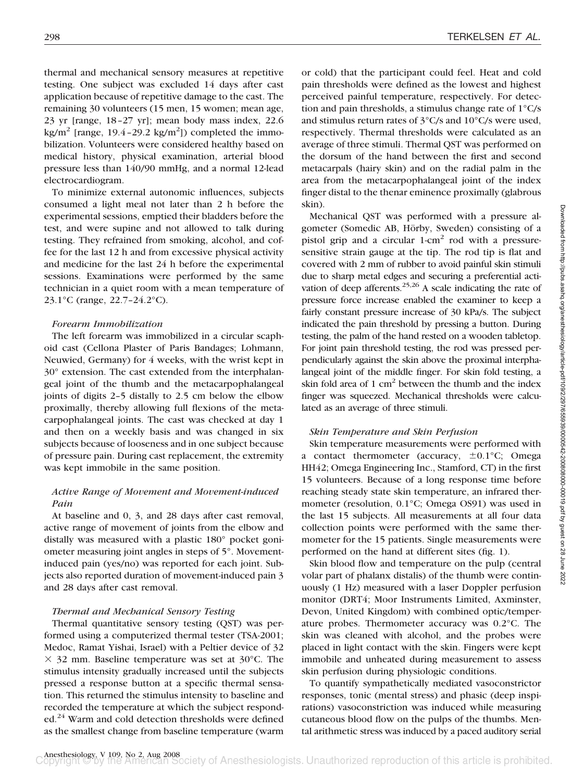thermal and mechanical sensory measures at repetitive testing. One subject was excluded 14 days after cast application because of repetitive damage to the cast. The remaining 30 volunteers (15 men, 15 women; mean age, 23 yr [range, 18–27 yr]; mean body mass index, 22.6 kg/m<sup>2</sup> [range, 19.4-29.2 kg/m<sup>2</sup>]) completed the immobilization. Volunteers were considered healthy based on medical history, physical examination, arterial blood pressure less than 140/90 mmHg, and a normal 12-lead electrocardiogram.

To minimize external autonomic influences, subjects consumed a light meal not later than 2 h before the experimental sessions, emptied their bladders before the test, and were supine and not allowed to talk during testing. They refrained from smoking, alcohol, and coffee for the last 12 h and from excessive physical activity and medicine for the last 24 h before the experimental sessions. Examinations were performed by the same technician in a quiet room with a mean temperature of 23.1°C (range, 22.7–24.2°C).

#### *Forearm Immobilization*

The left forearm was immobilized in a circular scaphoid cast (Cellona Plaster of Paris Bandages; Lohmann, Neuwied, Germany) for 4 weeks, with the wrist kept in 30° extension. The cast extended from the interphalangeal joint of the thumb and the metacarpophalangeal joints of digits 2–5 distally to 2.5 cm below the elbow proximally, thereby allowing full flexions of the metacarpophalangeal joints. The cast was checked at day 1 and then on a weekly basis and was changed in six subjects because of looseness and in one subject because of pressure pain. During cast replacement, the extremity was kept immobile in the same position.

## *Active Range of Movement and Movement-induced Pain*

At baseline and 0, 3, and 28 days after cast removal, active range of movement of joints from the elbow and distally was measured with a plastic 180° pocket goniometer measuring joint angles in steps of 5°. Movementinduced pain (yes/no) was reported for each joint. Subjects also reported duration of movement-induced pain 3 and 28 days after cast removal.

#### *Thermal and Mechanical Sensory Testing*

Thermal quantitative sensory testing (QST) was performed using a computerized thermal tester (TSA-2001; Medoc, Ramat Yishai, Israel) with a Peltier device of 32  $\times$  32 mm. Baseline temperature was set at 30°C. The stimulus intensity gradually increased until the subjects pressed a response button at a specific thermal sensation. This returned the stimulus intensity to baseline and recorded the temperature at which the subject responded.<sup>24</sup> Warm and cold detection thresholds were defined as the smallest change from baseline temperature (warm

or cold) that the participant could feel. Heat and cold pain thresholds were defined as the lowest and highest perceived painful temperature, respectively. For detection and pain thresholds, a stimulus change rate of 1°C/s and stimulus return rates of 3°C/s and 10°C/s were used, respectively. Thermal thresholds were calculated as an average of three stimuli. Thermal QST was performed on the dorsum of the hand between the first and second metacarpals (hairy skin) and on the radial palm in the area from the metacarpophalangeal joint of the index finger distal to the thenar eminence proximally (glabrous skin).

Mechanical QST was performed with a pressure algometer (Somedic AB, Hörby, Sweden) consisting of a pistol grip and a circular  $1$ -cm<sup>2</sup> rod with a pressuresensitive strain gauge at the tip. The rod tip is flat and covered with 2 mm of rubber to avoid painful skin stimuli due to sharp metal edges and securing a preferential activation of deep afferents.<sup>25,26</sup> A scale indicating the rate of pressure force increase enabled the examiner to keep a fairly constant pressure increase of 30 kPa/s. The subject indicated the pain threshold by pressing a button. During testing, the palm of the hand rested on a wooden tabletop. For joint pain threshold testing, the rod was pressed perpendicularly against the skin above the proximal interphalangeal joint of the middle finger. For skin fold testing, a skin fold area of 1  $\text{cm}^2$  between the thumb and the index finger was squeezed. Mechanical thresholds were calculated as an average of three stimuli.

#### *Skin Temperature and Skin Perfusion*

Skin temperature measurements were performed with a contact thermometer (accuracy,  $\pm 0.1^{\circ}$ C; Omega HH42; Omega Engineering Inc., Stamford, CT) in the first 15 volunteers. Because of a long response time before reaching steady state skin temperature, an infrared thermometer (resolution, 0.1°C; Omega OS91) was used in the last 15 subjects. All measurements at all four data collection points were performed with the same thermometer for the 15 patients. Single measurements were performed on the hand at different sites (fig. 1).

Skin blood flow and temperature on the pulp (central volar part of phalanx distalis) of the thumb were continuously (1 Hz) measured with a laser Doppler perfusion monitor (DRT4; Moor Instruments Limited, Axminster, Devon, United Kingdom) with combined optic/temperature probes. Thermometer accuracy was 0.2°C. The skin was cleaned with alcohol, and the probes were placed in light contact with the skin. Fingers were kept immobile and unheated during measurement to assess skin perfusion during physiologic conditions.

To quantify sympathetically mediated vasoconstrictor responses, tonic (mental stress) and phasic (deep inspirations) vasoconstriction was induced while measuring cutaneous blood flow on the pulps of the thumbs. Mental arithmetic stress was induced by a paced auditory serial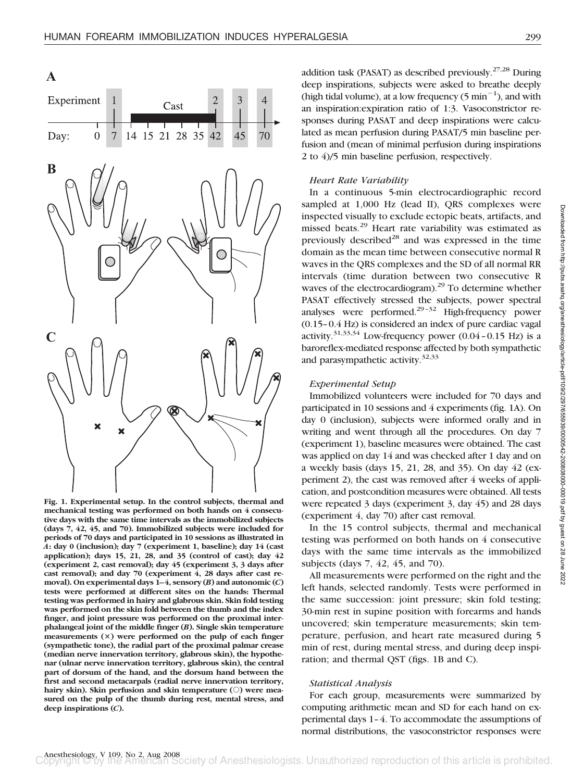Cast

14 15 21 28 35

3

45

70

42

**A**

Day:

Experiment

 $\theta$ 7



**Fig. 1. Experimental setup. In the control subjects, thermal and mechanical testing was performed on both hands on 4 consecutive days with the same time intervals as the immobilized subjects (days 7, 42, 45, and 70). Immobilized subjects were included for periods of 70 days and participated in 10 sessions as illustrated in** *A***: day 0 (inclusion); day 7 (experiment 1, baseline); day 14 (cast application); days 15, 21, 28, and 35 (control of cast); day 42 (experiment 2, cast removal); day 45 (experiment 3, 3 days after cast removal); and day 70 (experiment 4, 28 days after cast removal). On experimental days 1–4, sensory (***B***) and autonomic (***C***) tests were performed at different sites on the hands: Thermal testing was performed in hairy and glabrous skin. Skin fold testing was performed on the skin fold between the thumb and the index finger, and joint pressure was performed on the proximal interphalangeal joint of the middle finger (***B***). Single skin temperature measurements () were performed on the pulp of each finger (sympathetic tone), the radial part of the proximal palmar crease (median nerve innervation territory, glabrous skin), the hypothenar (ulnar nerve innervation territory, glabrous skin), the central part of dorsum of the hand, and the dorsum hand between the first and second metacarpals (radial nerve innervation territory,** hairy skin). Skin perfusion and skin temperature (O) were mea**sured on the pulp of the thumb during rest, mental stress, and deep inspirations (***C***).**

addition task (PASAT) as described previously.<sup>27,28</sup> During deep inspirations, subjects were asked to breathe deeply (high tidal volume), at a low frequency  $(5 \text{ min}^{-1})$ , and with an inspiration:expiration ratio of 1:3. Vasoconstrictor responses during PASAT and deep inspirations were calculated as mean perfusion during PASAT/5 min baseline perfusion and (mean of minimal perfusion during inspirations 2 to 4)/5 min baseline perfusion, respectively.

## *Heart Rate Variability*

In a continuous 5-min electrocardiographic record sampled at 1,000 Hz (lead II), QRS complexes were inspected visually to exclude ectopic beats, artifacts, and missed beats.<sup>29</sup> Heart rate variability was estimated as previously described<sup>28</sup> and was expressed in the time domain as the mean time between consecutive normal R waves in the QRS complexes and the SD of all normal RR intervals (time duration between two consecutive R waves of the electrocardiogram).<sup>29</sup> To determine whether PASAT effectively stressed the subjects, power spectral analyses were performed.29–32 High-frequency power (0.15–0.4 Hz) is considered an index of pure cardiac vagal activity.<sup>31,33,34</sup> Low-frequency power  $(0.04 - 0.15 \text{ Hz})$  is a baroreflex-mediated response affected by both sympathetic and parasympathetic activity.<sup>32,33</sup>

## *Experimental Setup*

Immobilized volunteers were included for 70 days and participated in 10 sessions and 4 experiments (fig. 1A). On day 0 (inclusion), subjects were informed orally and in writing and went through all the procedures. On day 7 (experiment 1), baseline measures were obtained. The cast was applied on day 14 and was checked after 1 day and on a weekly basis (days 15, 21, 28, and 35). On day 42 (experiment 2), the cast was removed after 4 weeks of application, and postcondition measures were obtained. All tests were repeated 3 days (experiment 3, day 45) and 28 days (experiment 4, day 70) after cast removal.

In the 15 control subjects, thermal and mechanical testing was performed on both hands on 4 consecutive days with the same time intervals as the immobilized subjects (days 7, 42, 45, and 70).

All measurements were performed on the right and the left hands, selected randomly. Tests were performed in the same succession: joint pressure; skin fold testing; 30-min rest in supine position with forearms and hands uncovered; skin temperature measurements; skin temperature, perfusion, and heart rate measured during 5 min of rest, during mental stress, and during deep inspiration; and thermal QST (figs. 1B and C).

#### *Statistical Analysis*

For each group, measurements were summarized by computing arithmetic mean and SD for each hand on experimental days 1–4. To accommodate the assumptions of normal distributions, the vasoconstrictor responses were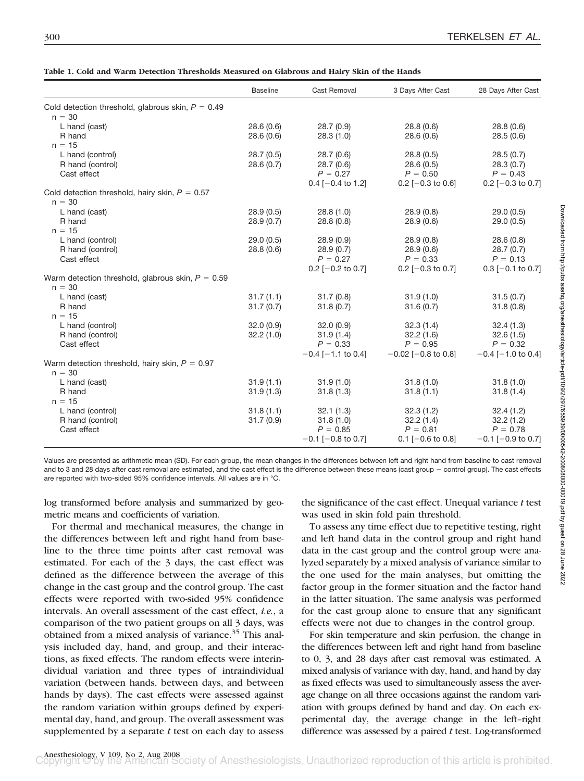|  |  | Table 1. Cold and Warm Detection Thresholds Measured on Glabrous and Hairy Skin of the Hands |  |  |  |  |  |
|--|--|----------------------------------------------------------------------------------------------|--|--|--|--|--|
|  |  |                                                                                              |  |  |  |  |  |

|                                                                 | <b>Baseline</b> | Cast Removal            | 3 Days After Cast         | 28 Days After Cast      |
|-----------------------------------------------------------------|-----------------|-------------------------|---------------------------|-------------------------|
| Cold detection threshold, glabrous skin, $P = 0.49$             |                 |                         |                           |                         |
| $n = 30$                                                        |                 |                         |                           |                         |
| L hand (cast)                                                   | 28.6(0.6)       | 28.7(0.9)               | 28.8(0.6)                 | 28.8(0.6)               |
| R hand                                                          | 28.6(0.6)       | 28.3(1.0)               | 28.6(0.6)                 | 28.5(0.6)               |
| $n = 15$                                                        |                 |                         |                           |                         |
| L hand (control)                                                | 28.7(0.5)       | 28.7(0.6)               | 28.8(0.5)                 | 28.5(0.7)               |
| R hand (control)                                                | 28.6(0.7)       | 28.7(0.6)               | 28.6(0.5)                 | 28.3(0.7)               |
| Cast effect                                                     |                 | $P = 0.27$              | $P = 0.50$                | $P = 0.43$              |
|                                                                 |                 | $0.4$ [-0.4 to 1.2]     | $0.2$ [-0.3 to 0.6]       | 0.2 $[-0.3$ to 0.7]     |
| Cold detection threshold, hairy skin, $P = 0.57$<br>$n = 30$    |                 |                         |                           |                         |
| L hand (cast)                                                   | 28.9(0.5)       | 28.8(1.0)               | 28.9(0.8)                 | 29.0(0.5)               |
| R hand                                                          | 28.9(0.7)       | 28.8(0.8)               | 28.9(0.6)                 | 29.0(0.5)               |
| $n = 15$                                                        |                 |                         |                           |                         |
| L hand (control)                                                | 29.0(0.5)       | 28.9(0.9)               | 28.9(0.8)                 | 28.6(0.8)               |
| R hand (control)                                                | 28.8(0.6)       | 28.9(0.7)               | 28.9(0.6)                 | 28.7(0.7)               |
| Cast effect                                                     |                 | $P = 0.27$              | $P = 0.33$                | $P = 0.13$              |
|                                                                 |                 | $0.2$ [-0.2 to 0.7]     | $0.2$ [-0.3 to 0.7]       | $0.3$ [-0.1 to 0.7]     |
| Warm detection threshold, glabrous skin, $P = 0.59$<br>$n = 30$ |                 |                         |                           |                         |
| L hand (cast)                                                   | 31.7(1.1)       | 31.7(0.8)               | 31.9(1.0)                 | 31.5(0.7)               |
| R hand                                                          | 31.7(0.7)       | 31.8(0.7)               | 31.6(0.7)                 | 31.8(0.8)               |
| $n = 15$                                                        |                 |                         |                           |                         |
| L hand (control)                                                | 32.0(0.9)       | 32.0(0.9)               | 32.3(1.4)                 | 32.4(1.3)               |
| R hand (control)                                                | 32.2(1.0)       | 31.9(1.4)               | 32.2(1.6)                 | 32.6(1.5)               |
| Cast effect                                                     |                 | $P = 0.33$              | $P = 0.95$                | $P = 0.32$              |
|                                                                 |                 | $-0.4$ [ $-1.1$ to 0.4] | $-0.02$ [ $-0.8$ to 0.8]  | $-0.4$ [ $-1.0$ to 0.4] |
| Warm detection threshold, hairy skin, $P = 0.97$<br>$n = 30$    |                 |                         |                           |                         |
| L hand (cast)                                                   | 31.9(1.1)       | 31.9(1.0)               | 31.8(1.0)                 | 31.8(1.0)               |
| R hand                                                          | 31.9(1.3)       | 31.8(1.3)               | 31.8(1.1)                 | 31.8(1.4)               |
| $n = 15$                                                        |                 |                         |                           |                         |
| L hand (control)                                                | 31.8(1.1)       | 32.1(1.3)               | 32.3(1.2)                 | 32.4(1.2)               |
| R hand (control)                                                | 31.7(0.9)       | 31.8(1.0)               | 32.2(1.4)                 | 32.2(1.2)               |
| Cast effect                                                     |                 | $P = 0.85$              | $P = 0.81$                | $P = 0.78$              |
|                                                                 |                 | $-0.1$ [ $-0.8$ to 0.7] | $0.1$ [ $-0.6$ to $0.8$ ] | $-0.1$ [ $-0.9$ to 0.7] |

Values are presented as arithmetic mean (SD). For each group, the mean changes in the differences between left and right hand from baseline to cast removal and to 3 and 28 days after cast removal are estimated, and the cast effect is the difference between these means (cast group - control group). The cast effects are reported with two-sided 95% confidence intervals. All values are in °C.

log transformed before analysis and summarized by geometric means and coefficients of variation.

For thermal and mechanical measures, the change in the differences between left and right hand from baseline to the three time points after cast removal was estimated. For each of the 3 days, the cast effect was defined as the difference between the average of this change in the cast group and the control group. The cast effects were reported with two-sided 95% confidence intervals. An overall assessment of the cast effect, *i.e.*, a comparison of the two patient groups on all 3 days, was obtained from a mixed analysis of variance.<sup>35</sup> This analysis included day, hand, and group, and their interactions, as fixed effects. The random effects were interindividual variation and three types of intraindividual variation (between hands, between days, and between hands by days). The cast effects were assessed against the random variation within groups defined by experimental day, hand, and group. The overall assessment was supplemented by a separate *t* test on each day to assess

the significance of the cast effect. Unequal variance *t* test was used in skin fold pain threshold.

To assess any time effect due to repetitive testing, right and left hand data in the control group and right hand data in the cast group and the control group were analyzed separately by a mixed analysis of variance similar to the one used for the main analyses, but omitting the factor group in the former situation and the factor hand in the latter situation. The same analysis was performed for the cast group alone to ensure that any significant effects were not due to changes in the control group.

For skin temperature and skin perfusion, the change in the differences between left and right hand from baseline to 0, 3, and 28 days after cast removal was estimated. A mixed analysis of variance with day, hand, and hand by day as fixed effects was used to simultaneously assess the average change on all three occasions against the random variation with groups defined by hand and day. On each experimental day, the average change in the left–right difference was assessed by a paired *t* test. Log-transformed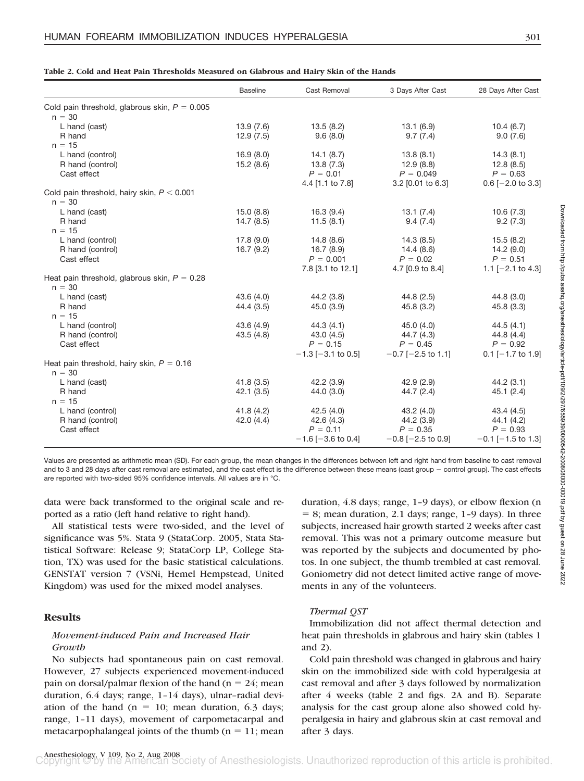|  |  | Table 2. Cold and Heat Pain Thresholds Measured on Glabrous and Hairv Skin of the Hands |  |  |  |  |  |
|--|--|-----------------------------------------------------------------------------------------|--|--|--|--|--|
|  |  |                                                                                         |  |  |  |  |  |

|                                                             | <b>Baseline</b>          | Cast Removal                                               | 3 Days After Cast                                                                              | 28 Days After Cast                                                |
|-------------------------------------------------------------|--------------------------|------------------------------------------------------------|------------------------------------------------------------------------------------------------|-------------------------------------------------------------------|
| Cold pain threshold, glabrous skin, $P = 0.005$<br>$n = 30$ |                          |                                                            |                                                                                                |                                                                   |
| L hand (cast)<br>R hand<br>$n = 15$                         | 13.9 (7.6)<br>12.9(7.5)  | 13.5 (8.2)<br>9.6(8.0)                                     | 13.1 (6.9)<br>9.7(7.4)                                                                         | 10.4(6.7)<br>9.0(7.6)                                             |
| L hand (control)<br>R hand (control)<br>Cast effect         | 16.9(8.0)<br>15.2 (8.6)  | 14.1 (8.7)<br>13.8 (7.3)<br>$P = 0.01$<br>4.4 [1.1 to 7.8] | 13.8(8.1)<br>12.9 (8.8)<br>$P = 0.049$<br>$3.2$ [0.01 to 6.3]                                  | 14.3(8.1)<br>12.8 (8.5)<br>$P = 0.63$<br>$0.6$ [-2.0 to 3.3]      |
| Cold pain threshold, hairy skin, $P < 0.001$<br>$n = 30$    |                          |                                                            |                                                                                                |                                                                   |
| L hand (cast)<br>R hand<br>$n = 15$                         | 15.0 (8.8)<br>14.7(8.5)  | 16.3 (9.4)<br>11.5(8.1)                                    | 13.1 (7.4)<br>9.4(7.4)                                                                         | 10.6(7.3)<br>9.2(7.3)                                             |
| L hand (control)<br>R hand (control)<br>Cast effect         | 17.8(9.0)<br>16.7(9.2)   | 14.8 (8.6)<br>7.8 [3.1 to 12.1]                            | 14.3 (8.5)<br>$16.7(8.9)$ $14.4(8.6)$<br>$P = 0.001$ $P = 0.02$<br>4.7 [0.9 to 8.4]            | 15.5(8.2)<br>14.2 (9.0)<br>$P = 0.51$<br>1.1 $[-2.1$ to 4.3       |
| Heat pain threshold, glabrous skin, $P = 0.28$<br>$n = 30$  |                          |                                                            |                                                                                                |                                                                   |
| L hand (cast)<br>R hand<br>$n = 15$                         | 43.6(4.0)<br>44.4 (3.5)  | 44.2 (3.8)<br>45.0 (3.9)                                   | 44.8 (2.5)<br>45.8 (3.2)                                                                       | 44.8 (3.0)<br>45.8(3.3)                                           |
| L hand (control)<br>R hand (control)<br>Cast effect         | 43.6 (4.9)<br>43.5 (4.8) | 44.3 (4.1)<br>43.0 (4.5)<br>$P = 0.15$                     | 45.0 (4.0)<br>$44.7(4.3)$<br>$P = 0.45$<br>$-1.3$ [-3.1 to 0.5] $-0.7$ [-2.5 to 1.1]           | 44.5 (4.1)<br>44.8(4.4)<br>$P = 0.92$<br>$0.1$ [-1.7 to 1.9]      |
| Heat pain threshold, hairy skin, $P = 0.16$<br>$n = 30$     |                          |                                                            |                                                                                                |                                                                   |
| L hand (cast)<br>R hand<br>$n = 15$                         | 41.8(3.5)<br>42.1(3.5)   | 42.2 (3.9)<br>44.0 (3.0)                                   | 42.9 (2.9)<br>44.7 (2.4)                                                                       | 44.2(3.1)<br>45.1(2.4)                                            |
| L hand (control)<br>R hand (control)<br>Cast effect         | 41.8 (4.2)<br>42.0 (4.4) | 42.5 (4.0)<br>$P = 0.11$                                   | 43.2 (4.0)<br>42.6 (4.3) 44.2 (3.9)<br>$P = 0.35$<br>$-1.6$ [-3.6 to 0.4] $-0.8$ [-2.5 to 0.9] | 43.4 (4.5)<br>44.1 (4.2)<br>$P = 0.93$<br>$-0.1$ [ $-1.5$ to 1.3] |

Values are presented as arithmetic mean (SD). For each group, the mean changes in the differences between left and right hand from baseline to cast removal and to 3 and 28 days after cast removal are estimated, and the cast effect is the difference between these means (cast group - control group). The cast effects are reported with two-sided 95% confidence intervals. All values are in °C.

data were back transformed to the original scale and reported as a ratio (left hand relative to right hand).

All statistical tests were two-sided, and the level of significance was 5%. Stata 9 (StataCorp. 2005, Stata Statistical Software: Release 9; StataCorp LP, College Station, TX) was used for the basic statistical calculations. GENSTAT version 7 (VSNi, Hemel Hempstead, United Kingdom) was used for the mixed model analyses.

# **Results**

## *Movement-induced Pain and Increased Hair Growth*

No subjects had spontaneous pain on cast removal. However, 27 subjects experienced movement-induced pain on dorsal/palmar flexion of the hand ( $n = 24$ ; mean duration, 6.4 days; range, 1–14 days), ulnar–radial deviation of the hand ( $n = 10$ ; mean duration, 6.3 days; range, 1–11 days), movement of carpometacarpal and metacarpophalangeal joints of the thumb ( $n = 11$ ; mean duration, 4.8 days; range, 1–9 days), or elbow flexion (n  $= 8$ ; mean duration, 2.1 days; range, 1-9 days). In three subjects, increased hair growth started 2 weeks after cast removal. This was not a primary outcome measure but was reported by the subjects and documented by photos. In one subject, the thumb trembled at cast removal. Goniometry did not detect limited active range of movements in any of the volunteers.

# *Thermal QST*

Immobilization did not affect thermal detection and heat pain thresholds in glabrous and hairy skin (tables 1 and 2).

Cold pain threshold was changed in glabrous and hairy skin on the immobilized side with cold hyperalgesia at cast removal and after 3 days followed by normalization after 4 weeks (table 2 and figs. 2A and B). Separate analysis for the cast group alone also showed cold hyperalgesia in hairy and glabrous skin at cast removal and after 3 days.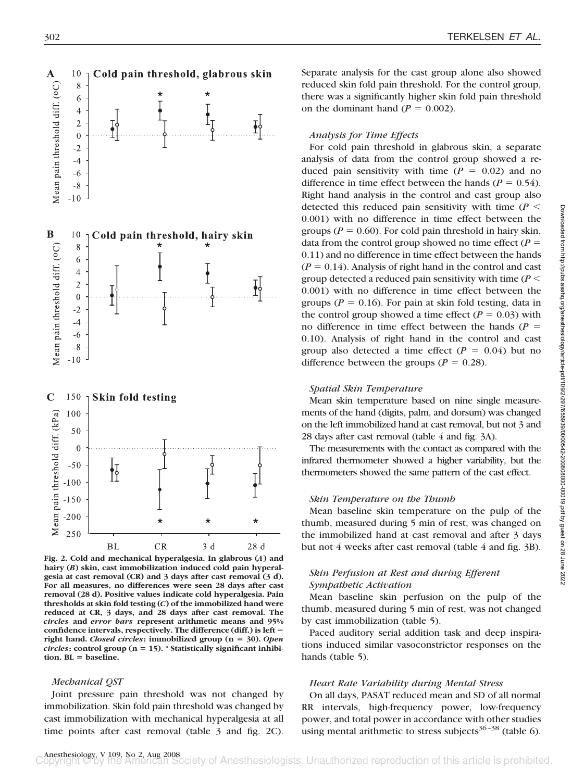

**Fig. 2. Cold and mechanical hyperalgesia. In glabrous (***A***) and hairy (***B***) skin, cast immobilization induced cold pain hyperalgesia at cast removal (CR) and 3 days after cast removal (3 d). For all measures, no differences were seen 28 days after cast removal (28 d). Positive values indicate cold hyperalgesia. Pain thresholds at skin fold testing (***C***) of the immobilized hand were reduced at CR, 3 days, and 28 days after cast removal. The** *circles* **and** *error bars* **represent arithmetic means and 95% confidence intervals, respectively. The difference (diff.) is left right hand.** *Closed circles***: immobilized group (n 30).** *Open circles***: control group (n 15). \* Statistically significant inhibition. BL baseline.**

#### *Mechanical QST*

Joint pressure pain threshold was not changed by immobilization. Skin fold pain threshold was changed by cast immobilization with mechanical hyperalgesia at all time points after cast removal (table 3 and fig. 2C). Separate analysis for the cast group alone also showed reduced skin fold pain threshold. For the control group, there was a significantly higher skin fold pain threshold on the dominant hand  $(P = 0.002)$ .

### *Analysis for Time Effects*

For cold pain threshold in glabrous skin, a separate analysis of data from the control group showed a reduced pain sensitivity with time  $(P = 0.02)$  and no difference in time effect between the hands ( $P = 0.54$ ). Right hand analysis in the control and cast group also detected this reduced pain sensitivity with time  $(P \leq$ 0.001) with no difference in time effect between the groups ( $P = 0.60$ ). For cold pain threshold in hairy skin, data from the control group showed no time effect  $(P =$ 0.11) and no difference in time effect between the hands  $(P = 0.14)$ . Analysis of right hand in the control and cast group detected a reduced pain sensitivity with time (*P* 0.001) with no difference in time effect between the groups ( $P = 0.16$ ). For pain at skin fold testing, data in the control group showed a time effect  $(P = 0.03)$  with no difference in time effect between the hands  $(P =$ 0.10). Analysis of right hand in the control and cast group also detected a time effect  $(P = 0.04)$  but no difference between the groups ( $P = 0.28$ ).

#### *Spatial Skin Temperature*

Mean skin temperature based on nine single measurements of the hand (digits, palm, and dorsum) was changed on the left immobilized hand at cast removal, but not 3 and 28 days after cast removal (table 4 and fig. 3A).

The measurements with the contact as compared with the infrared thermometer showed a higher variability, but the thermometers showed the same pattern of the cast effect.

#### *Skin Temperature on the Thumb*

Mean baseline skin temperature on the pulp of the thumb, measured during 5 min of rest, was changed on the immobilized hand at cast removal and after 3 days but not 4 weeks after cast removal (table 4 and fig. 3B).

## *Skin Perfusion at Rest and during Efferent Sympathetic Activation*

Mean baseline skin perfusion on the pulp of the thumb, measured during 5 min of rest, was not changed by cast immobilization (table 5).

Paced auditory serial addition task and deep inspirations induced similar vasoconstrictor responses on the hands (table 5).

#### *Heart Rate Variability during Mental Stress*

On all days, PASAT reduced mean and SD of all normal RR intervals, high-frequency power, low-frequency power, and total power in accordance with other studies using mental arithmetic to stress subjects<sup>36-38</sup> (table 6).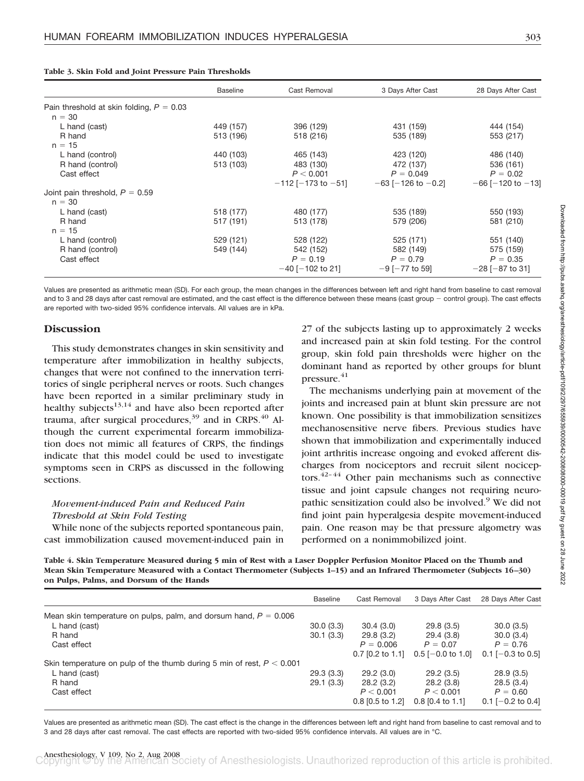|  |  |  |  |  |  |  |  | Table 3. Skin Fold and Joint Pressure Pain Thresholds |
|--|--|--|--|--|--|--|--|-------------------------------------------------------|
|--|--|--|--|--|--|--|--|-------------------------------------------------------|

|                                            | <b>Baseline</b> | Cast Removal               | 3 Days After Cast          | 28 Days After Cast        |
|--------------------------------------------|-----------------|----------------------------|----------------------------|---------------------------|
| Pain threshold at skin folding, $P = 0.03$ |                 |                            |                            |                           |
| $n = 30$                                   |                 |                            |                            |                           |
| L hand (cast)                              | 449 (157)       | 396 (129)                  | 431 (159)                  | 444 (154)                 |
| R hand                                     | 513 (196)       | 518 (216)                  | 535 (189)                  | 553 (217)                 |
| $n = 15$                                   |                 |                            |                            |                           |
| L hand (control)                           | 440 (103)       | 465 (143)                  | 423 (120)                  | 486 (140)                 |
| R hand (control)                           | 513 (103)       | 483 (130)                  | 472 (137)                  | 536 (161)                 |
| Cast effect                                |                 | P < 0.001                  | $P = 0.049$                | $P = 0.02$                |
|                                            |                 | $-112$ [ $-173$ to $-51$ ] | $-63$ [ $-126$ to $-0.2$ ] | $-66$ [ $-120$ to $-13$ ] |
| Joint pain threshold, $P = 0.59$           |                 |                            |                            |                           |
| $n = 30$                                   |                 |                            |                            |                           |
| L hand (cast)                              | 518 (177)       | 480 (177)                  | 535 (189)                  | 550 (193)                 |
| R hand                                     | 517 (191)       | 513 (178)                  | 579 (206)                  | 581 (210)                 |
| $n = 15$                                   |                 |                            |                            |                           |
| L hand (control)                           | 529 (121)       | 528 (122)                  | 525 (171)                  | 551 (140)                 |
| R hand (control)                           | 549 (144)       | 542 (152)                  | 582 (149)                  | 575 (159)                 |
| Cast effect                                |                 | $P = 0.19$                 | $P = 0.79$                 | $P = 0.35$                |
|                                            |                 | $-40$ [ $-102$ to 21]      | $-9$ [ $-77$ to 59]        | $-28$ [ $-87$ to 31]      |

Values are presented as arithmetic mean (SD). For each group, the mean changes in the differences between left and right hand from baseline to cast removal and to 3 and 28 days after cast removal are estimated, and the cast effect is the difference between these means (cast group - control group). The cast effects are reported with two-sided 95% confidence intervals. All values are in kPa.

## **Discussion**

This study demonstrates changes in skin sensitivity and temperature after immobilization in healthy subjects, changes that were not confined to the innervation territories of single peripheral nerves or roots. Such changes have been reported in a similar preliminary study in healthy subjects $13,14$  and have also been reported after trauma, after surgical procedures, $39$  and in CRPS. $40$  Although the current experimental forearm immobilization does not mimic all features of CRPS, the findings indicate that this model could be used to investigate symptoms seen in CRPS as discussed in the following sections.

# *Movement-induced Pain and Reduced Pain Threshold at Skin Fold Testing*

While none of the subjects reported spontaneous pain, cast immobilization caused movement-induced pain in

27 of the subjects lasting up to approximately 2 weeks and increased pain at skin fold testing. For the control group, skin fold pain thresholds were higher on the dominant hand as reported by other groups for blunt pressure. $41$ 

The mechanisms underlying pain at movement of the joints and increased pain at blunt skin pressure are not known. One possibility is that immobilization sensitizes mechanosensitive nerve fibers. Previous studies have shown that immobilization and experimentally induced joint arthritis increase ongoing and evoked afferent discharges from nociceptors and recruit silent nociceptors. $42-44$  Other pain mechanisms such as connective tissue and joint capsule changes not requiring neuropathic sensitization could also be involved.<sup>9</sup> We did not find joint pain hyperalgesia despite movement-induced pain. One reason may be that pressure algometry was performed on a nonimmobilized joint.

**Table 4. Skin Temperature Measured during 5 min of Rest with a Laser Doppler Perfusion Monitor Placed on the Thumb and Mean Skin Temperature Measured with a Contact Thermometer (Subjects 1–15) and an Infrared Thermometer (Subjects 16 –30) on Pulps, Palms, and Dorsum of the Hands**

|                                                                         | <b>Baseline</b> | Cast Removal       | 3 Days After Cast   | 28 Days After Cast  |
|-------------------------------------------------------------------------|-----------------|--------------------|---------------------|---------------------|
| Mean skin temperature on pulps, palm, and dorsum hand, $P = 0.006$      |                 |                    |                     |                     |
| L hand (cast)                                                           | 30.0(3.3)       | 30.4(3.0)          | 29.8(3.5)           | 30.0(3.5)           |
| R hand                                                                  | 30.1(3.3)       | 29.8(3.2)          | 29.4(3.8)           | 30.0(3.4)           |
| Cast effect                                                             |                 | $P = 0.006$        | $P = 0.07$          | $P = 0.76$          |
|                                                                         |                 | $0.7$ [0.2 to 1.1] | $0.5$ [-0.0 to 1.0] | $0.1$ [-0.3 to 0.5] |
| Skin temperature on pulp of the thumb during 5 min of rest, $P < 0.001$ |                 |                    |                     |                     |
| L hand (cast)                                                           | 29.3(3.3)       | 29.2(3.0)          | 29.2(3.5)           | 28.9(3.5)           |
| R hand                                                                  | 29.1(3.3)       | 28.2(3.2)          | 28.2(3.8)           | 28.5(3.4)           |
| Cast effect                                                             |                 | P < 0.001          | P < 0.001           | $P = 0.60$          |
|                                                                         |                 | 0.8 [0.5 to 1.2]   | 0.8 [0.4 to 1.1]    | 0.1 $[-0.2$ to 0.4] |

Values are presented as arithmetic mean (SD). The cast effect is the change in the differences between left and right hand from baseline to cast removal and to 3 and 28 days after cast removal. The cast effects are reported with two-sided 95% confidence intervals. All values are in °C.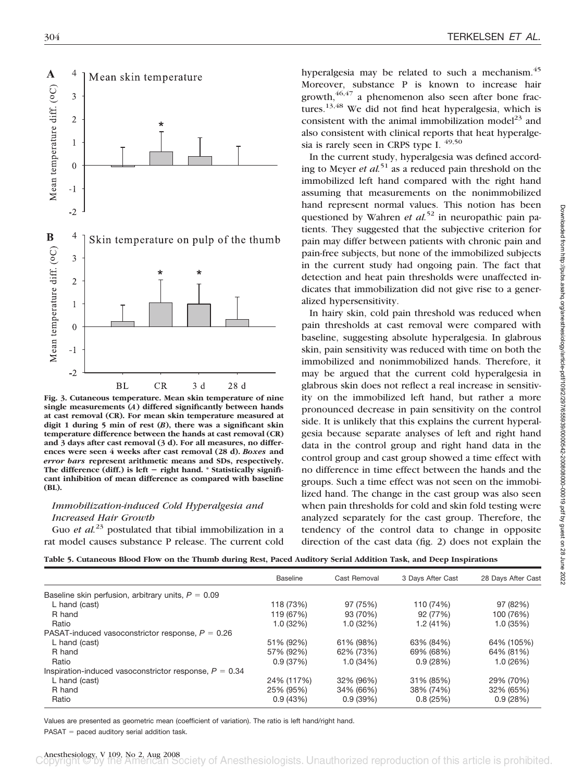

**Fig. 3. Cutaneous temperature. Mean skin temperature of nine single measurements (***A***) differed significantly between hands at cast removal (CR). For mean skin temperature measured at digit 1 during 5 min of rest (***B***), there was a significant skin temperature difference between the hands at cast removal (CR) and 3 days after cast removal (3 d). For all measures, no differences were seen 4 weeks after cast removal (28 d).** *Boxes* **and** *error bars* **represent arithmetic means and SDs, respectively.** The difference (diff.) is left - right hand. \* Statistically signifi**cant inhibition of mean difference as compared with baseline (BL).**

# *Immobilization-induced Cold Hyperalgesia and Increased Hair Growth*

Guo *et al.*<sup>23</sup> postulated that tibial immobilization in a rat model causes substance P release. The current cold

hyperalgesia may be related to such a mechanism.<sup>45</sup> Moreover, substance P is known to increase hair  $growth$ ,  $46,47$  a phenomenon also seen after bone fractures.<sup>13,48</sup> We did not find heat hyperalgesia, which is consistent with the animal immobilization model<sup>23</sup> and also consistent with clinical reports that heat hyperalgesia is rarely seen in CRPS type I.  $49,50$ 

In the current study, hyperalgesia was defined according to Meyer *et al.*<sup>51</sup> as a reduced pain threshold on the immobilized left hand compared with the right hand assuming that measurements on the nonimmobilized hand represent normal values. This notion has been questioned by Wahren *et al.*<sup>52</sup> in neuropathic pain patients. They suggested that the subjective criterion for pain may differ between patients with chronic pain and pain-free subjects, but none of the immobilized subjects in the current study had ongoing pain. The fact that detection and heat pain thresholds were unaffected indicates that immobilization did not give rise to a generalized hypersensitivity.

In hairy skin, cold pain threshold was reduced when pain thresholds at cast removal were compared with baseline, suggesting absolute hyperalgesia. In glabrous skin, pain sensitivity was reduced with time on both the immobilized and nonimmobilized hands. Therefore, it may be argued that the current cold hyperalgesia in glabrous skin does not reflect a real increase in sensitivity on the immobilized left hand, but rather a more pronounced decrease in pain sensitivity on the control side. It is unlikely that this explains the current hyperalgesia because separate analyses of left and right hand data in the control group and right hand data in the control group and cast group showed a time effect with no difference in time effect between the hands and the groups. Such a time effect was not seen on the immobilized hand. The change in the cast group was also seen when pain thresholds for cold and skin fold testing were analyzed separately for the cast group. Therefore, the tendency of the control data to change in opposite direction of the cast data (fig. 2) does not explain the

|  |  |  | Table 5. Cutaneous Blood Flow on the Thumb during Rest, Paced Auditory Serial Addition Task, and Deep Inspirations |
|--|--|--|--------------------------------------------------------------------------------------------------------------------|
|  |  |  |                                                                                                                    |

|                                                          | <b>Baseline</b> | Cast Removal | 3 Days After Cast | 28 Days After Cast |
|----------------------------------------------------------|-----------------|--------------|-------------------|--------------------|
| Baseline skin perfusion, arbitrary units, $P = 0.09$     |                 |              |                   |                    |
| L hand (cast)                                            | 118 (73%)       | 97 (75%)     | 110 (74%)         | 97 (82%)           |
| R hand                                                   | 119 (67%)       | 93 (70%)     | 92 (77%)          | 100 (76%)          |
| Ratio                                                    | 1.0(32%)        | 1.0(32%)     | 1.2(41%)          | 1.0(35%)           |
| PASAT-induced vasoconstrictor response, $P = 0.26$       |                 |              |                   |                    |
| L hand (cast)                                            | 51% (92%)       | 61% (98%)    | 63% (84%)         | 64% (105%)         |
| R hand                                                   | 57% (92%)       | 62% (73%)    | 69% (68%)         | 64% (81%)          |
| Ratio                                                    | 0.9(37%)        | 1.0(34%)     | 0.9(28%)          | 1.0(26%)           |
| Inspiration-induced vasoconstrictor response, $P = 0.34$ |                 |              |                   |                    |
| L hand (cast)                                            | 24% (117%)      | 32% (96%)    | 31% (85%)         | 29% (70%)          |
| R hand                                                   | 25% (95%)       | 34% (66%)    | 38% (74%)         | 32% (65%)          |
| Ratio                                                    | 0.9(43%)        | 0.9(39%)     | 0.8(25%)          | 0.9(28%)           |

Values are presented as geometric mean (coefficient of variation). The ratio is left hand/right hand.

 $PASAT =$  paced auditory serial addition task.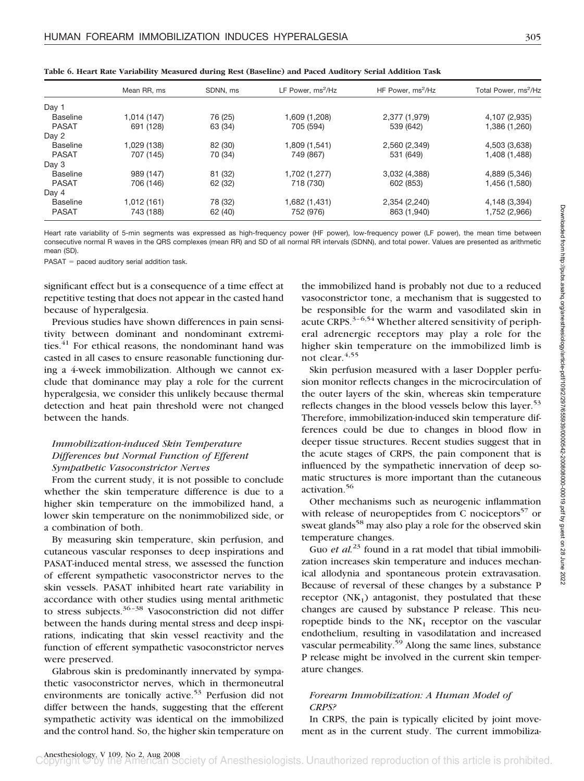| ٠  |                    |              |
|----|--------------------|--------------|
| ۰. | ×<br>۰.<br>w<br>۰. | ۰.<br>٧<br>٠ |

|                 | Mean RR, ms | SDNN, ms | LF Power, ms <sup>2</sup> /Hz | HF Power, ms <sup>2</sup> /Hz | Total Power, ms <sup>2</sup> /Hz |
|-----------------|-------------|----------|-------------------------------|-------------------------------|----------------------------------|
| Day 1           |             |          |                               |                               |                                  |
| <b>Baseline</b> | 1,014 (147) | 76 (25)  | 1,609 (1,208)                 | 2,377 (1,979)                 | 4,107 (2,935)                    |
| <b>PASAT</b>    | 691 (128)   | 63 (34)  | 705 (594)                     | 539 (642)                     | 1,386 (1,260)                    |
| Day 2           |             |          |                               |                               |                                  |
| <b>Baseline</b> | 1,029 (138) | 82 (30)  | 1,809 (1,541)                 | 2,560 (2,349)                 | 4,503 (3,638)                    |
| <b>PASAT</b>    | 707 (145)   | 70 (34)  | 749 (867)                     | 531 (649)                     | 1,408 (1,488)                    |
| Day 3           |             |          |                               |                               |                                  |
| <b>Baseline</b> | 989 (147)   | 81 (32)  | 1,702 (1,277)                 | 3,032 (4,388)                 | 4,889 (5,346)                    |
| <b>PASAT</b>    | 706 (146)   | 62 (32)  | 718 (730)                     | 602 (853)                     | 1,456 (1,580)                    |
| Day 4           |             |          |                               |                               |                                  |
| <b>Baseline</b> | 1,012 (161) | 78 (32)  | 1,682 (1,431)                 | 2,354 (2,240)                 | 4,148 (3,394)                    |
| <b>PASAT</b>    | 743 (188)   | 62 (40)  | 752 (976)                     | 863 (1,940)                   | 1,752 (2,966)                    |

**Table 6. Heart Rate Variability Measured during Rest (Baseline) and Paced Auditory Serial Addition Task**

Heart rate variability of 5-min segments was expressed as high-frequency power (HF power), low-frequency power (LF power), the mean time between consecutive normal R waves in the QRS complexes (mean RR) and SD of all normal RR intervals (SDNN), and total power. Values are presented as arithmetic mean (SD).

 $PASAT =$  paced auditory serial addition task.

significant effect but is a consequence of a time effect at repetitive testing that does not appear in the casted hand because of hyperalgesia.

Previous studies have shown differences in pain sensitivity between dominant and nondominant extremities.<sup>41</sup> For ethical reasons, the nondominant hand was casted in all cases to ensure reasonable functioning during a 4-week immobilization. Although we cannot exclude that dominance may play a role for the current hyperalgesia, we consider this unlikely because thermal detection and heat pain threshold were not changed between the hands.

# *Immobilization-induced Skin Temperature Differences but Normal Function of Efferent Sympathetic Vasoconstrictor Nerves*

From the current study, it is not possible to conclude whether the skin temperature difference is due to a higher skin temperature on the immobilized hand, a lower skin temperature on the nonimmobilized side, or a combination of both.

By measuring skin temperature, skin perfusion, and cutaneous vascular responses to deep inspirations and PASAT-induced mental stress, we assessed the function of efferent sympathetic vasoconstrictor nerves to the skin vessels. PASAT inhibited heart rate variability in accordance with other studies using mental arithmetic to stress subjects. $36-38$  Vasoconstriction did not differ between the hands during mental stress and deep inspirations, indicating that skin vessel reactivity and the function of efferent sympathetic vasoconstrictor nerves were preserved.

Glabrous skin is predominantly innervated by sympathetic vasoconstrictor nerves, which in thermoneutral environments are tonically active.<sup>53</sup> Perfusion did not differ between the hands, suggesting that the efferent sympathetic activity was identical on the immobilized and the control hand. So, the higher skin temperature on

the immobilized hand is probably not due to a reduced vasoconstrictor tone, a mechanism that is suggested to be responsible for the warm and vasodilated skin in acute CRPS. $3-6,54$  Whether altered sensitivity of peripheral adrenergic receptors may play a role for the higher skin temperature on the immobilized limb is not clear.<sup>4,55</sup>

Skin perfusion measured with a laser Doppler perfusion monitor reflects changes in the microcirculation of the outer layers of the skin, whereas skin temperature reflects changes in the blood vessels below this layer.<sup>53</sup> Therefore, immobilization-induced skin temperature differences could be due to changes in blood flow in deeper tissue structures. Recent studies suggest that in the acute stages of CRPS, the pain component that is influenced by the sympathetic innervation of deep somatic structures is more important than the cutaneous activation.56

Other mechanisms such as neurogenic inflammation with release of neuropeptides from C nociceptors $57$  or sweat glands<sup>58</sup> may also play a role for the observed skin temperature changes.

Guo *et al.*<sup>23</sup> found in a rat model that tibial immobilization increases skin temperature and induces mechanical allodynia and spontaneous protein extravasation. Because of reversal of these changes by a substance P receptor  $(NK_1)$  antagonist, they postulated that these changes are caused by substance P release. This neuropeptide binds to the  $NK<sub>1</sub>$  receptor on the vascular endothelium, resulting in vasodilatation and increased vascular permeability. $59$  Along the same lines, substance P release might be involved in the current skin temperature changes.

# *Forearm Immobilization: A Human Model of CRPS?*

In CRPS, the pain is typically elicited by joint movement as in the current study. The current immobiliza-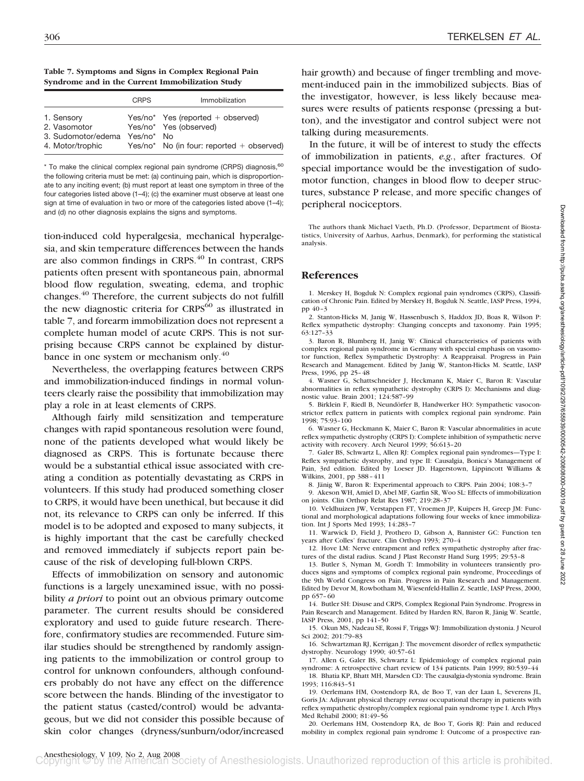**Table 7. Symptoms and Signs in Complex Regional Pain Syndrome and in the Current Immobilization Study**

|                                                                      | CRPS       | Immobilization                                                                                               |
|----------------------------------------------------------------------|------------|--------------------------------------------------------------------------------------------------------------|
| 1. Sensory<br>2. Vasomotor<br>3. Sudomotor/edema<br>4. Motor/trophic | Yes/no* No | $Yes/no*$ Yes (reported + observed)<br>Yes/no* Yes (observed)<br>$Yes/no*$ No (in four: reported + observed) |

\* To make the clinical complex regional pain syndrome (CRPS) diagnosis, 60 the following criteria must be met: (a) continuing pain, which is disproportionate to any inciting event; (b) must report at least one symptom in three of the four categories listed above (1–4); (c) the examiner must observe at least one sign at time of evaluation in two or more of the categories listed above (1–4); and (d) no other diagnosis explains the signs and symptoms.

tion-induced cold hyperalgesia, mechanical hyperalgesia, and skin temperature differences between the hands are also common findings in CRPS.<sup>40</sup> In contrast, CRPS patients often present with spontaneous pain, abnormal blood flow regulation, sweating, edema, and trophic changes.40 Therefore, the current subjects do not fulfill the new diagnostic criteria for  $CRPS^{60}$  as illustrated in table 7, and forearm immobilization does not represent a complete human model of acute CRPS. This is not surprising because CRPS cannot be explained by disturbance in one system or mechanism only.<sup>40</sup>

Nevertheless, the overlapping features between CRPS and immobilization-induced findings in normal volunteers clearly raise the possibility that immobilization may play a role in at least elements of CRPS.

Although fairly mild sensitization and temperature changes with rapid spontaneous resolution were found, none of the patients developed what would likely be diagnosed as CRPS. This is fortunate because there would be a substantial ethical issue associated with creating a condition as potentially devastating as CRPS in volunteers. If this study had produced something closer to CRPS, it would have been unethical, but because it did not, its relevance to CRPS can only be inferred. If this model is to be adopted and exposed to many subjects, it is highly important that the cast be carefully checked and removed immediately if subjects report pain because of the risk of developing full-blown CRPS.

Effects of immobilization on sensory and autonomic functions is a largely unexamined issue, with no possibility *a priori* to point out an obvious primary outcome parameter. The current results should be considered exploratory and used to guide future research. Therefore, confirmatory studies are recommended. Future similar studies should be strengthened by randomly assigning patients to the immobilization or control group to control for unknown confounders, although confounders probably do not have any effect on the difference score between the hands. Blinding of the investigator to the patient status (casted/control) would be advantageous, but we did not consider this possible because of skin color changes (dryness/sunburn/odor/increased

hair growth) and because of finger trembling and movement-induced pain in the immobilized subjects. Bias of the investigator, however, is less likely because measures were results of patients response (pressing a button), and the investigator and control subject were not talking during measurements.

In the future, it will be of interest to study the effects of immobilization in patients, *e.g.*, after fractures. Of special importance would be the investigation of sudomotor function, changes in blood flow to deeper structures, substance P release, and more specific changes of peripheral nociceptors.

The authors thank Michael Vaeth, Ph.D. (Professor, Department of Biostatistics, University of Aarhus, Aarhus, Denmark), for performing the statistical analysis.

# **References**

1. Merskey H, Bogduk N: Complex regional pain syndromes (CRPS), Classification of Chronic Pain. Edited by Merskey H, Bogduk N. Seattle, IASP Press, 1994, pp 40–3

2. Stanton-Hicks M, Janig W, Hassenbusch S, Haddox JD, Boas R, Wilson P: Reflex sympathetic dystrophy: Changing concepts and taxonomy. Pain 1995; 63:127–33

3. Baron R, Blumberg H, Janig W: Clinical characteristics of patients with complex regional pain syndrome in Germany with special emphasis on vasomotor function, Reflex Sympathetic Dystrophy: A Reappraisal. Progress in Pain Research and Management. Edited by Janig W, Stanton-Hicks M. Seattle, IASP Press, 1996, pp 25–48

4. Wasner G, Schattschneider J, Heckmann K, Maier C, Baron R: Vascular abnormalities in reflex sympathetic dystrophy (CRPS I): Mechanisms and diagnostic value. Brain 2001; 124:587–99

5. Birklein F, Riedl B, Neundörfer B, Handwerker HO: Sympathetic vasoconstrictor reflex pattern in patients with complex regional pain syndrome. Pain 1998; 75:93–100

6. Wasner G, Heckmann K, Maier C, Baron R: Vascular abnormalities in acute reflex sympathetic dystrophy (CRPS I): Complete inhibition of sympathetic nerve activity with recovery. Arch Neurol 1999; 56:613–20

7. Galer BS, Schwartz L, Allen RJ: Complex regional pain syndromes—Type I: Reflex sympathetic dystrophy, and type II: Causalgia, Bonica's Management of Pain, 3rd edition. Edited by Loeser JD. Hagerstown, Lippincott Williams & Wilkins, 2001, pp 388–411

8. Jänig W, Baron R: Experimental approach to CRPS. Pain 2004; 108:3-7 9. Akeson WH, Amiel D, Abel MF, Garfin SR, Woo SL: Effects of immobilization on joints. Clin Orthop Relat Res 1987; 219:28–37

10. Veldhuizen JW, Verstappen FT, Vroemen JP, Kuipers H, Greep JM: Functional and morphological adaptations following four weeks of knee immobilization. Int J Sports Med 1993; 14:283–7

11. Warwick D, Field J, Prothero D, Gibson A, Bannister GC: Function ten years after Colles' fracture. Clin Orthop 1993; 270–4

12. Hove LM: Nerve entrapment and reflex sympathetic dystrophy after fractures of the distal radius. Scand J Plast Reconstr Hand Surg 1995; 29:53–8

13. Butler S, Nyman M, Gordh T: Immobility in volunteers transiently produces signs and symptoms of complex regional pain syndrome, Proceedings of the 9th World Congress on Pain. Progress in Pain Research and Management. Edited by Devor M, Rowbotham M, Wiesenfeld-Hallin Z. Seattle, IASP Press, 2000, pp 657–60

14. Butler SH: Disuse and CRPS, Complex Regional Pain Syndrome. Progress in Pain Research and Management. Edited by Harden RN, Baron R, Jänig W. Seattle, IASP Press, 2001, pp 141–50

15. Okun MS, Nadeau SE, Rossi F, Triggs WJ: Immobilization dystonia. J Neurol Sci 2002; 201:79–83

16. Schwartzman RJ, Kerrigan J: The movement disorder of reflex sympathetic dystrophy. Neurology 1990; 40:57–61

17. Allen G, Galer BS, Schwartz L: Epidemiology of complex regional pain syndrome: A retrospective chart review of 134 patients. Pain 1999; 80:539–44 18. Bhatia KP, Bhatt MH, Marsden CD: The causalgia-dystonia syndrome. Brain 1993; 116:843–51

19. Oerlemans HM, Oostendorp RA, de Boo T, van der Laan L, Severens JL, Goris JA: Adjuvant physical therapy *versus* occupational therapy in patients with reflex sympathetic dystrophy/complex regional pain syndrome type I. Arch Phys Med Rehabil 2000; 81:49–56

20. Oerlemans HM, Oostendorp RA, de Boo T, Goris RJ: Pain and reduced mobility in complex regional pain syndrome I: Outcome of a prospective ran